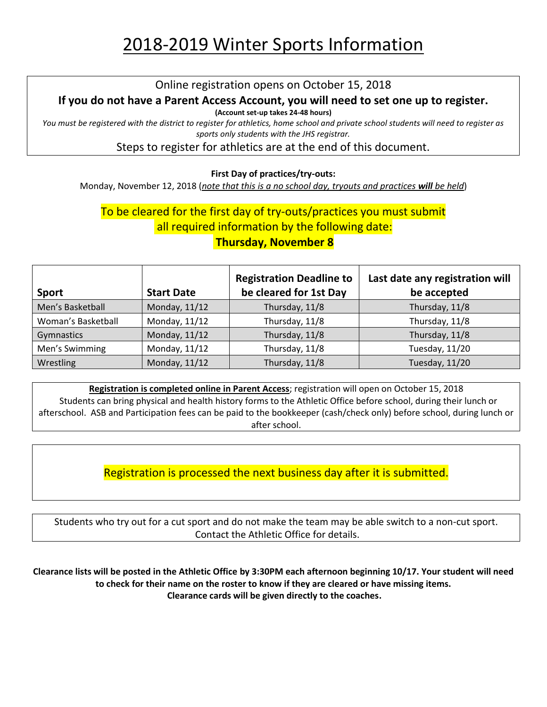# 2018-2019 Winter Sports Information

#### Online registration opens on October 15, 2018

### **If you do not have a Parent Access Account, you will need to set one up to register.**

**(Account set-up takes 24-48 hours)**

*You must be registered with the district to register for athletics, home school and private school students will need to register as sports only students with the JHS registrar.*

Steps to register for athletics are at the end of this document.

#### **First Day of practices/try-outs:**

Monday, November 12, 2018 (*note that this is a no school day, tryouts and practices will be held*)

# To be cleared for the first day of try-outs/practices you must submit all required information by the following date:

### **Thursday, November 8**

| <b>Sport</b>       | <b>Start Date</b> | <b>Registration Deadline to</b><br>be cleared for 1st Day | Last date any registration will<br>be accepted |
|--------------------|-------------------|-----------------------------------------------------------|------------------------------------------------|
| Men's Basketball   | Monday, 11/12     | Thursday, 11/8                                            | Thursday, 11/8                                 |
| Woman's Basketball | Monday, 11/12     | Thursday, 11/8                                            | Thursday, 11/8                                 |
| Gymnastics         | Monday, 11/12     | Thursday, 11/8                                            | Thursday, 11/8                                 |
| Men's Swimming     | Monday, 11/12     | Thursday, 11/8                                            | Tuesday, 11/20                                 |
| Wrestling          | Monday, 11/12     | Thursday, 11/8                                            | Tuesday, 11/20                                 |

**Registration is completed online in Parent Access**; registration will open on October 15, 2018 Students can bring physical and health history forms to the Athletic Office before school, during their lunch or afterschool. ASB and Participation fees can be paid to the bookkeeper (cash/check only) before school, during lunch or after school.

Registration is processed the next business day after it is submitted.

Students who try out for a cut sport and do not make the team may be able switch to a non-cut sport. Contact the Athletic Office for details.

**Clearance lists will be posted in the Athletic Office by 3:30PM each afternoon beginning 10/17. Your student will need to check for their name on the roster to know if they are cleared or have missing items. Clearance cards will be given directly to the coaches.**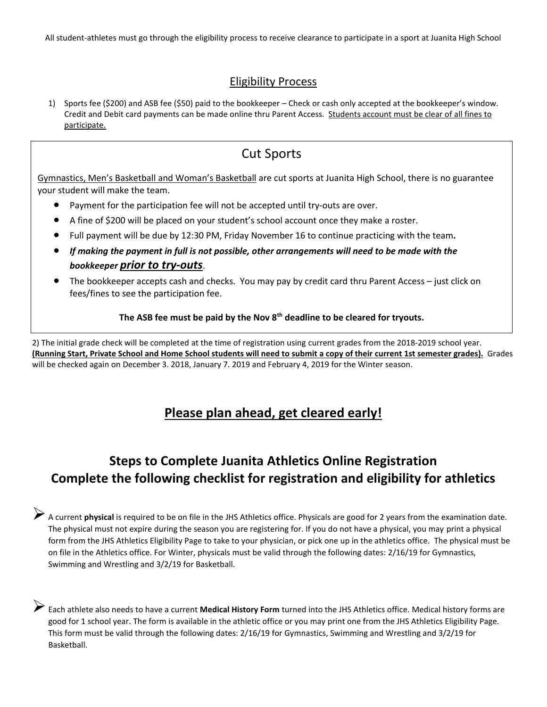All student-athletes must go through the eligibility process to receive clearance to participate in a sport at Juanita High School

#### Eligibility Process

1) Sports fee (\$200) and ASB fee (\$50) paid to the bookkeeper – Check or cash only accepted at the bookkeeper's window. Credit and Debit card payments can be made online thru Parent Access. Students account must be clear of all fines to participate.

### Cut Sports

Gymnastics, Men's Basketball and Woman's Basketball are cut sports at Juanita High School, there is no guarantee your student will make the team.

- Payment for the participation fee will not be accepted until try-outs are over.
- A fine of \$200 will be placed on your student's school account once they make a roster.
- Full payment will be due by 12:30 PM, Friday November 16 to continue practicing with the team*.*
- *If making the payment in full is not possible, other arrangements will need to be made with the bookkeeper prior to try-outs*.
- The bookkeeper accepts cash and checks. You may pay by credit card thru Parent Access just click on fees/fines to see the participation fee.

#### **The ASB fee must be paid by the Nov 8th deadline to be cleared for tryouts.**

2) The initial grade check will be completed at the time of registration using current grades from the 2018-2019 school year. **(Running Start, Private School and Home School students will need to submit a copy of their current 1st semester grades).** Grades will be checked again on December 3. 2018, January 7. 2019 and February 4, 2019 for the Winter season.

### **Please plan ahead, get cleared early!**

## **Steps to Complete Juanita Athletics Online Registration Complete the following checklist for registration and eligibility for athletics**

A current **physical** is required to be on file in the JHS Athletics office. Physicals are good for 2 years from the examination date. The physical must not expire during the season you are registering for. If you do not have a physical, you may print a physical form from the JHS Athletics Eligibility Page to take to your physician, or pick one up in the athletics office. The physical must be on file in the Athletics office. For Winter, physicals must be valid through the following dates: 2/16/19 for Gymnastics, Swimming and Wrestling and 3/2/19 for Basketball.

➢Each athlete also needs to have a current **[Medical History Form](file:///C:/Users/kblanch/OneDrive%20-%20Lake%20Washington%20School%20District/Athletic%20Forms/Pre-participation-Medical-History-Form%20rev%2011.16.pdf)** turned into the JHS Athletics office. Medical history forms are good for 1 school year. The form is available in the athletic office or you may print one from the JHS Athletics Eligibility Page. This form must be valid through the following dates: 2/16/19 for Gymnastics, Swimming and Wrestling and 3/2/19 for Basketball.